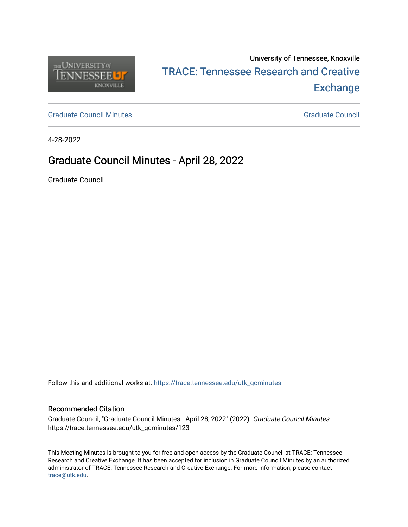

# University of Tennessee, Knoxville TRACE: T[ennessee Research and Cr](https://trace.tennessee.edu/)eative **Exchange**

[Graduate Council Minutes](https://trace.tennessee.edu/utk_gcminutes) [Graduate Council](https://trace.tennessee.edu/utk_gradcouncil) Minutes Graduate Council Council Council Council Council Council Council

4-28-2022

## Graduate Council Minutes - April 28, 2022

Graduate Council

Follow this and additional works at: [https://trace.tennessee.edu/utk\\_gcminutes](https://trace.tennessee.edu/utk_gcminutes?utm_source=trace.tennessee.edu%2Futk_gcminutes%2F123&utm_medium=PDF&utm_campaign=PDFCoverPages)

#### Recommended Citation

Graduate Council, "Graduate Council Minutes - April 28, 2022" (2022). Graduate Council Minutes. https://trace.tennessee.edu/utk\_gcminutes/123

This Meeting Minutes is brought to you for free and open access by the Graduate Council at TRACE: Tennessee Research and Creative Exchange. It has been accepted for inclusion in Graduate Council Minutes by an authorized administrator of TRACE: Tennessee Research and Creative Exchange. For more information, please contact [trace@utk.edu.](mailto:trace@utk.edu)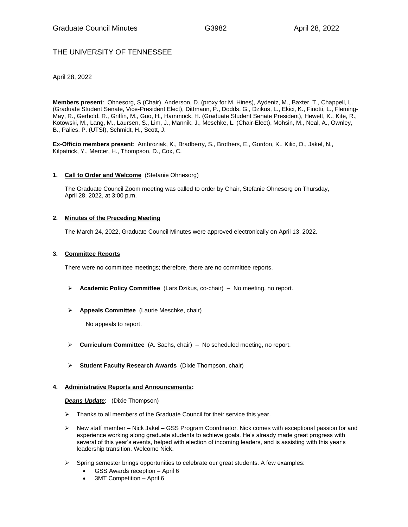### THE UNIVERSITY OF TENNESSEE

April 28, 2022

**Members present**: Ohnesorg, S (Chair), Anderson, D. (proxy for M. Hines), Aydeniz, M., Baxter, T., Chappell, L. (Graduate Student Senate, Vice-President Elect), Dittmann, P., Dodds, G., Dzikus, L., Ekici, K., Finotti, L., Fleming-May, R., Gerhold, R., Griffin, M., Guo, H., Hammock, H. (Graduate Student Senate President), Hewett, K., Kite, R., Kotowski, M., Lang, M., Laursen, S., Lim, J., Mannik, J., Meschke, L. (Chair-Elect), Mohsin, M., Neal, A., Ownley, B., Palies, P. (UTSI), Schmidt, H., Scott, J.

**Ex-Officio members present**: Ambroziak, K., Bradberry, S., Brothers, E., Gordon, K., Kilic, O., Jakel, N., Kilpatrick, Y., Mercer, H., Thompson, D., Cox, C.

#### **1. Call to Order and Welcome** (Stefanie Ohnesorg)

The Graduate Council Zoom meeting was called to order by Chair, Stefanie Ohnesorg on Thursday, April 28, 2022, at 3:00 p.m.

#### **2. Minutes of the Preceding Meeting**

The March 24, 2022, Graduate Council Minutes were approved electronically on April 13, 2022.

#### **3. Committee Reports**

There were no committee meetings; therefore, there are no committee reports.

- ➢ **Academic Policy Committee** (Lars Dzikus, co-chair) No meeting, no report.
- ➢ **Appeals Committee** (Laurie Meschke, chair)

No appeals to report.

- ➢ **Curriculum Committee** (A. Sachs, chair) No scheduled meeting, no report.
- ➢ **Student Faculty Research Awards** (Dixie Thompson, chair)

#### **4. Administrative Reports and Announcements:**

*Deans Update*: (Dixie Thompson)

- ➢ Thanks to all members of the Graduate Council for their service this year.
- $\triangleright$  New staff member Nick Jakel GSS Program Coordinator. Nick comes with exceptional passion for and experience working along graduate students to achieve goals. He's already made great progress with several of this year's events, helped with election of incoming leaders, and is assisting with this year's leadership transition. Welcome Nick.
- $\triangleright$  Spring semester brings opportunities to celebrate our great students. A few examples:
	- GSS Awards reception April 6
	- 3MT Competition April 6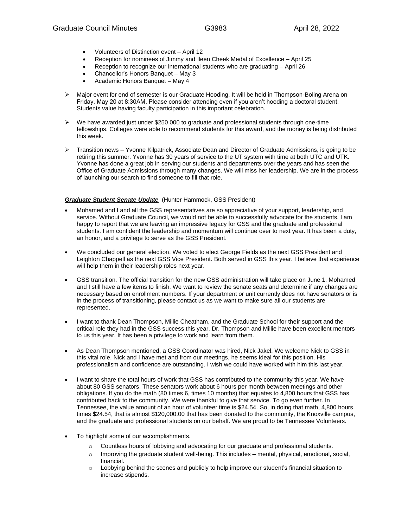- Volunteers of Distinction event April 12
- Reception for nominees of Jimmy and Ileen Cheek Medal of Excellence April 25
- Reception to recognize our international students who are graduating April 26
- Chancellor's Honors Banquet May 3
- Academic Honors Banquet May 4
- ➢ Major event for end of semester is our Graduate Hooding. It will be held in Thompson-Boling Arena on Friday, May 20 at 8:30AM. Please consider attending even if you aren't hooding a doctoral student. Students value having faculty participation in this important celebration.
- ➢ We have awarded just under \$250,000 to graduate and professional students through one-time fellowships. Colleges were able to recommend students for this award, and the money is being distributed this week.
- ➢ Transition news Yvonne Kilpatrick, Associate Dean and Director of Graduate Admissions, is going to be retiring this summer. Yvonne has 30 years of service to the UT system with time at both UTC and UTK. Yvonne has done a great job in serving our students and departments over the years and has seen the Office of Graduate Admissions through many changes. We will miss her leadership. We are in the process of launching our search to find someone to fill that role.

#### *Graduate Student Senate Update* (Hunter Hammock, GSS President)

- Mohamed and I and all the GSS representatives are so appreciative of your support, leadership, and service. Without Graduate Council, we would not be able to successfully advocate for the students. I am happy to report that we are leaving an impressive legacy for GSS and the graduate and professional students. I am confident the leadership and momentum will continue over to next year. It has been a duty, an honor, and a privilege to serve as the GSS President.
- We concluded our general election. We voted to elect George Fields as the next GSS President and Leighton Chappell as the next GSS Vice President. Both served in GSS this year. I believe that experience will help them in their leadership roles next year.
- GSS transition. The official transition for the new GSS administration will take place on June 1. Mohamed and I still have a few items to finish. We want to review the senate seats and determine if any changes are necessary based on enrollment numbers. If your department or unit currently does not have senators or is in the process of transitioning, please contact us as we want to make sure all our students are represented.
- I want to thank Dean Thompson, Millie Cheatham, and the Graduate School for their support and the critical role they had in the GSS success this year. Dr. Thompson and Millie have been excellent mentors to us this year. It has been a privilege to work and learn from them.
- As Dean Thompson mentioned, a GSS Coordinator was hired, Nick Jakel. We welcome Nick to GSS in this vital role. Nick and I have met and from our meetings, he seems ideal for this position. His professionalism and confidence are outstanding. I wish we could have worked with him this last year.
- I want to share the total hours of work that GSS has contributed to the community this year. We have about 80 GSS senators. These senators work about 6 hours per month between meetings and other obligations. If you do the math (80 times 6, times 10 months) that equates to 4,800 hours that GSS has contributed back to the community. We were thankful to give that service. To go even further. In Tennessee, the value amount of an hour of volunteer time is \$24.54. So, in doing that math, 4,800 hours times \$24.54, that is almost \$120,000.00 that has been donated to the community, the Knoxville campus, and the graduate and professional students on our behalf. We are proud to be Tennessee Volunteers.
- To highlight some of our accomplishments.
	- o Countless hours of lobbying and advocating for our graduate and professional students.
	- o Improving the graduate student well-being. This includes mental, physical, emotional, social, financial.
	- o Lobbying behind the scenes and publicly to help improve our student's financial situation to increase stipends.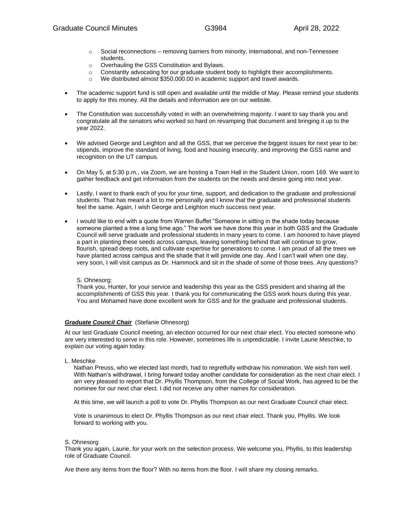- $\circ$  Social reconnections removing barriers from minority, international, and non-Tennessee students.
- o Overhauling the GSS Constitution and Bylaws.
- $\circ$  Constantly advocating for our graduate student body to highlight their accomplishments.
- We distributed almost \$350,000.00 in academic support and travel awards.
- The academic support fund is still open and available until the middle of May. Please remind your students to apply for this money. All the details and information are on our website.
- The Constitution was successfully voted in with an overwhelming majority. I want to say thank you and congratulate all the senators who worked so hard on revamping that document and bringing it up to the year 2022.
- We advised George and Leighton and all the GSS, that we perceive the biggest issues for next year to be: stipends, improve the standard of living, food and housing insecurity, and improving the GSS name and recognition on the UT campus.
- On May 5, at 5:30 p.m., via Zoom, we are hosting a Town Hall in the Student Union, room 169. We want to gather feedback and get information from the students on the needs and desire going into next year.
- Lastly, I want to thank each of you for your time, support, and dedication to the graduate and professional students. That has meant a lot to me personally and I know that the graduate and professional students feel the same. Again, I wish George and Leighton much success next year.
- I would like to end with a quote from Warren Buffet "Someone in sitting in the shade today because someone planted a tree a long time ago." The work we have done this year in both GSS and the Graduate Council will serve graduate and professional students in many years to come. I am honored to have played a part in planting these seeds across campus, leaving something behind that will continue to grow, flourish, spread deep roots, and cultivate expertise for generations to come. I am proud of all the trees we have planted across campus and the shade that it will provide one day. And I can't wait when one day, very soon, I will visit campus as Dr. Hammock and sit in the shade of some of those trees. Any questions?

#### S. Ohnesorg:

Thank you, Hunter, for your service and leadership this year as the GSS president and sharing all the accomplishments of GSS this year. I thank you for communicating the GSS work hours during this year. You and Mohamed have done excellent work for GSS and for the graduate and professional students.

#### *Graduate Council Chair* (Stefanie Ohnesorg)

At our last Graduate Council meeting, an election occurred for our next chair elect. You elected someone who are very interested to serve in this role. However, sometimes life is unpredictable. I invite Laurie Meschke, to explain our voting again today.

L. Meschke

Nathan Preuss, who we elected last month, had to regretfully withdraw his nomination. We wish him well. With Nathan's withdrawal, I bring forward today another candidate for consideration as the next chair elect. I am very pleased to report that Dr. Phyllis Thompson, from the College of Social Work, has agreed to be the nominee for our next char elect. I did not receive any other names for consideration.

At this time, we will launch a poll to vote Dr. Phyllis Thompson as our next Graduate Council chair elect.

Vote is unanimous to elect Dr. Phyllis Thompson as our next chair elect. Thank you, Phyllis. We look forward to working with you.

#### S. Ohnesorg

Thank you again, Laurie, for your work on the selection process. We welcome you, Phyllis, to this leadership role of Graduate Council.

Are there any items from the floor? With no items from the floor. I will share my closing remarks.